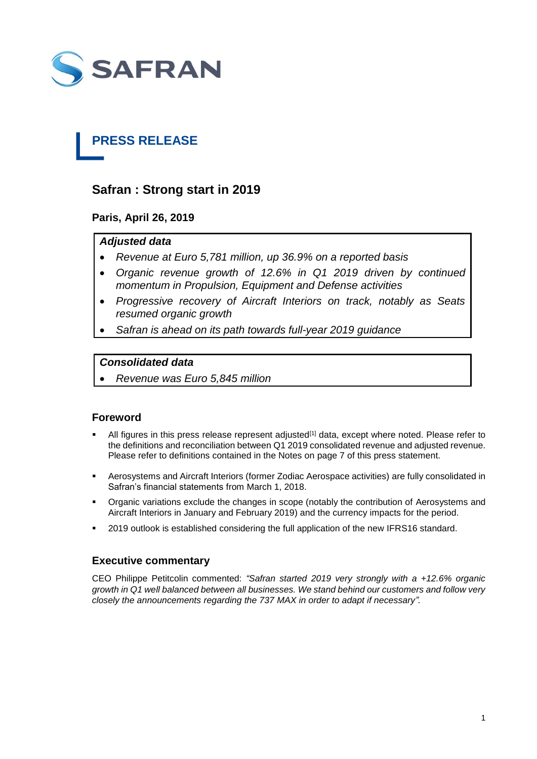

# **PRESS RELEASE**

# **Safran : Strong start in 2019**

**Paris, April 26, 2019**

# *Adjusted data*

- *Revenue at Euro 5,781 million, up 36.9% on a reported basis*
- *Organic revenue growth of 12.6% in Q1 2019 driven by continued momentum in Propulsion, Equipment and Defense activities*
- *Progressive recovery of Aircraft Interiors on track, notably as Seats resumed organic growth*
- *Safran is ahead on its path towards full-year 2019 guidance*

# *Consolidated data*

*Revenue was Euro 5,845 million*

# **Foreword**

- All figures in this press release represent adjusted<sup>[1]</sup> data, except where noted. Please refer to the definitions and reconciliation between Q1 2019 consolidated revenue and adjusted revenue. Please refer to definitions contained in the Notes on page 7 of this press statement.
- Aerosystems and Aircraft Interiors (former Zodiac Aerospace activities) are fully consolidated in Safran's financial statements from March 1, 2018.
- Organic variations exclude the changes in scope (notably the contribution of Aerosystems and Aircraft Interiors in January and February 2019) and the currency impacts for the period.
- 2019 outlook is established considering the full application of the new IFRS16 standard.

# **Executive commentary**

CEO Philippe Petitcolin commented: *"Safran started 2019 very strongly with a +12.6% organic growth in Q1 well balanced between all businesses. We stand behind our customers and follow very closely the announcements regarding the 737 MAX in order to adapt if necessary".*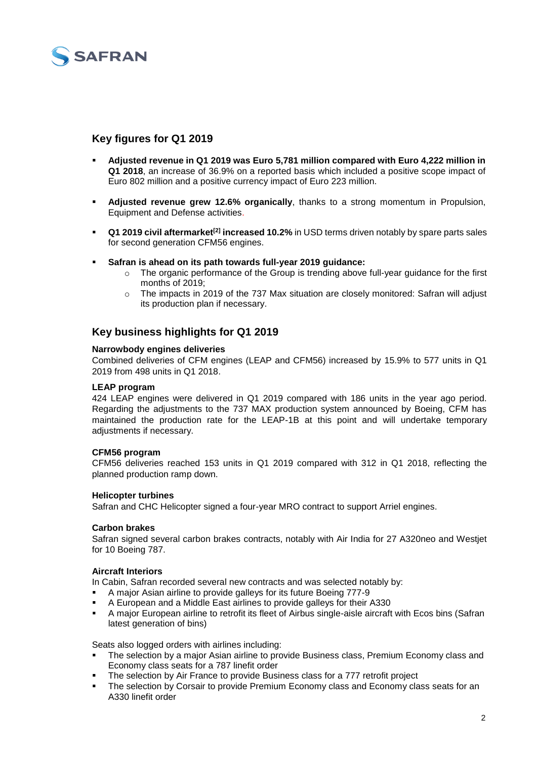

# **Key figures for Q1 2019**

- **Adjusted revenue in Q1 2019 was Euro 5,781 million compared with Euro 4,222 million in Q1 2018**, an increase of 36.9% on a reported basis which included a positive scope impact of Euro 802 million and a positive currency impact of Euro 223 million.
- **Adjusted revenue grew 12.6% organically**, thanks to a strong momentum in Propulsion, Equipment and Defense activities.
- **Q1 2019 civil aftermarket[2] increased 10.2%** in USD terms driven notably by spare parts sales for second generation CFM56 engines.
- **Safran is ahead on its path towards full-year 2019 guidance:**
	- o The organic performance of the Group is trending above full-year guidance for the first months of 2019;
	- $\circ$  The impacts in 2019 of the 737 Max situation are closely monitored: Safran will adjust its production plan if necessary.

# **Key business highlights for Q1 2019**

### **Narrowbody engines deliveries**

Combined deliveries of CFM engines (LEAP and CFM56) increased by 15.9% to 577 units in Q1 2019 from 498 units in Q1 2018.

### **LEAP program**

424 LEAP engines were delivered in Q1 2019 compared with 186 units in the year ago period. Regarding the adjustments to the 737 MAX production system announced by Boeing, CFM has maintained the production rate for the LEAP-1B at this point and will undertake temporary adiustments if necessary.

# **CFM56 program**

CFM56 deliveries reached 153 units in Q1 2019 compared with 312 in Q1 2018, reflecting the planned production ramp down.

# **Helicopter turbines**

Safran and CHC Helicopter signed a four-year MRO contract to support Arriel engines.

### **Carbon brakes**

Safran signed several carbon brakes contracts, notably with Air India for 27 A320neo and Westjet for 10 Boeing 787.

# **Aircraft Interiors**

In Cabin, Safran recorded several new contracts and was selected notably by:

- A major Asian airline to provide galleys for its future Boeing 777-9
- A European and a Middle East airlines to provide galleys for their A330
- A major European airline to retrofit its fleet of Airbus single-aisle aircraft with Ecos bins (Safran latest generation of bins)

Seats also logged orders with airlines including:

- The selection by a major Asian airline to provide Business class, Premium Economy class and Economy class seats for a 787 linefit order
- The selection by Air France to provide Business class for a 777 retrofit project
- The selection by Corsair to provide Premium Economy class and Economy class seats for an A330 linefit order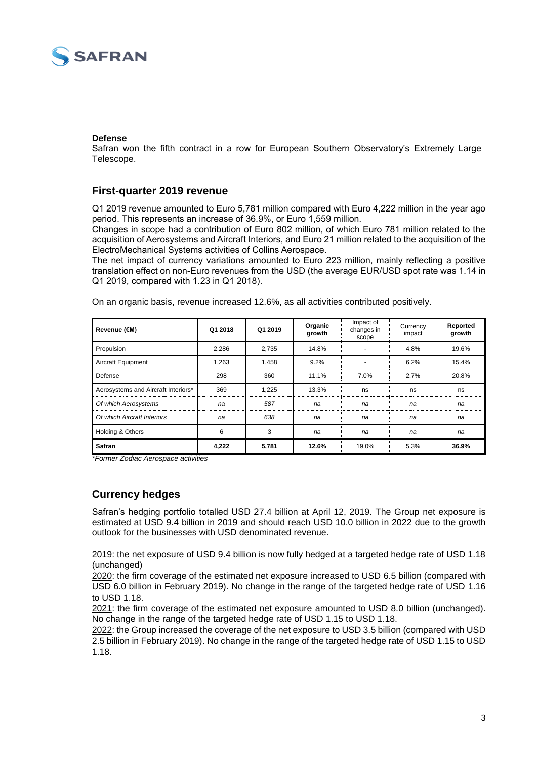

### **Defense**

Safran won the fifth contract in a row for European Southern Observatory's Extremely Large Telescope.

# **First-quarter 2019 revenue**

Q1 2019 revenue amounted to Euro 5,781 million compared with Euro 4,222 million in the year ago period. This represents an increase of 36.9%, or Euro 1,559 million.

Changes in scope had a contribution of Euro 802 million, of which Euro 781 million related to the acquisition of Aerosystems and Aircraft Interiors, and Euro 21 million related to the acquisition of the ElectroMechanical Systems activities of Collins Aerospace.

The net impact of currency variations amounted to Euro 223 million, mainly reflecting a positive translation effect on non-Euro revenues from the USD (the average EUR/USD spot rate was 1.14 in Q1 2019, compared with 1.23 in Q1 2018).

| Revenue (€M)                        | Q1 2018 | Q1 2019 | Organic<br>growth | Impact of<br>changes in<br>scope | Currency<br>impact | Reported<br>growth |
|-------------------------------------|---------|---------|-------------------|----------------------------------|--------------------|--------------------|
| Propulsion                          | 2,286   | 2,735   | 14.8%             |                                  | 4.8%               | 19.6%              |
| Aircraft Equipment                  | 1.263   | 1.458   | 9.2%              |                                  | 6.2%               | 15.4%              |
| Defense                             | 298     | 360     | 11.1%             | 7.0%                             | 2.7%               | 20.8%              |
| Aerosystems and Aircraft Interiors* | 369     | 1,225   | 13.3%             | ns                               | ns                 | ns                 |
| Of which Aerosystems                | na      | 587     | na                | na                               | na                 | na                 |
| Of which Aircraft Interiors         | na      | 638     | na                | na                               | na                 | na                 |
| <b>Holding &amp; Others</b>         | 6       | 3       | na                | na                               | na                 | na                 |
| Safran                              | 4,222   | 5,781   | 12.6%             | 19.0%                            | 5.3%               | 36.9%              |

On an organic basis, revenue increased 12.6%, as all activities contributed positively.

*\*Former Zodiac Aerospace activities*

# **Currency hedges**

Safran's hedging portfolio totalled USD 27.4 billion at April 12, 2019. The Group net exposure is estimated at USD 9.4 billion in 2019 and should reach USD 10.0 billion in 2022 due to the growth outlook for the businesses with USD denominated revenue.

2019: the net exposure of USD 9.4 billion is now fully hedged at a targeted hedge rate of USD 1.18 (unchanged)

2020: the firm coverage of the estimated net exposure increased to USD 6.5 billion (compared with USD 6.0 billion in February 2019). No change in the range of the targeted hedge rate of USD 1.16 to USD 1.18.

2021: the firm coverage of the estimated net exposure amounted to USD 8.0 billion (unchanged). No change in the range of the targeted hedge rate of USD 1.15 to USD 1.18.

2022: the Group increased the coverage of the net exposure to USD 3.5 billion (compared with USD 2.5 billion in February 2019). No change in the range of the targeted hedge rate of USD 1.15 to USD 1.18.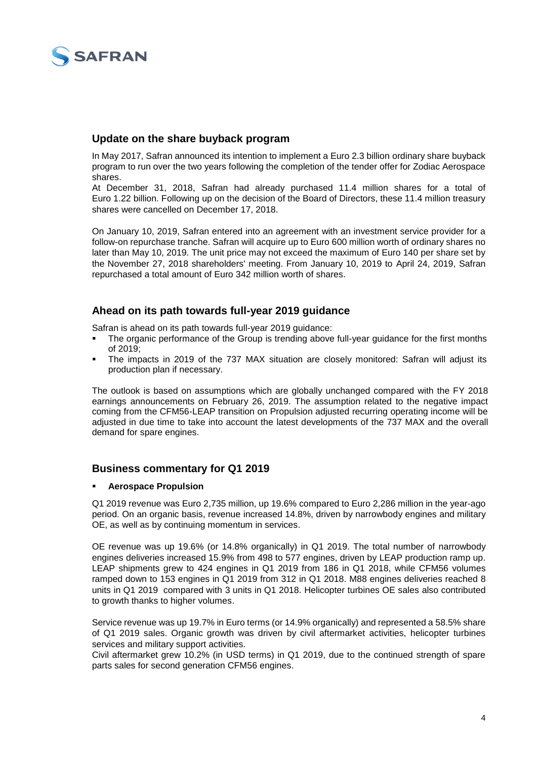

# **Update on the share buyback program**

In May 2017, Safran announced its intention to implement a Euro 2.3 billion ordinary share buyback program to run over the two years following the completion of the tender offer for Zodiac Aerospace shares.

At December 31, 2018, Safran had already purchased 11.4 million shares for a total of Euro 1.22 billion. Following up on the decision of the Board of Directors, these 11.4 million treasury shares were cancelled on December 17, 2018.

On January 10, 2019, Safran entered into an agreement with an investment service provider for a follow-on repurchase tranche. Safran will acquire up to Euro 600 million worth of ordinary shares no later than May 10, 2019. The unit price may not exceed the maximum of Euro 140 per share set by the November 27, 2018 shareholders' meeting. From January 10, 2019 to April 24, 2019, Safran repurchased a total amount of Euro 342 million worth of shares.

# **Ahead on its path towards full-year 2019 guidance**

Safran is ahead on its path towards full-year 2019 guidance:

- The organic performance of the Group is trending above full-year guidance for the first months of 2019;
- The impacts in 2019 of the 737 MAX situation are closely monitored: Safran will adjust its production plan if necessary.

The outlook is based on assumptions which are globally unchanged compared with the FY 2018 earnings announcements on February 26, 2019. The assumption related to the negative impact coming from the CFM56-LEAP transition on Propulsion adjusted recurring operating income will be adjusted in due time to take into account the latest developments of the 737 MAX and the overall demand for spare engines.

# **Business commentary for Q1 2019**

# **Aerospace Propulsion**

Q1 2019 revenue was Euro 2,735 million, up 19.6% compared to Euro 2,286 million in the year-ago period. On an organic basis, revenue increased 14.8%, driven by narrowbody engines and military OE, as well as by continuing momentum in services.

OE revenue was up 19.6% (or 14.8% organically) in Q1 2019. The total number of narrowbody engines deliveries increased 15.9% from 498 to 577 engines, driven by LEAP production ramp up. LEAP shipments grew to 424 engines in Q1 2019 from 186 in Q1 2018, while CFM56 volumes ramped down to 153 engines in Q1 2019 from 312 in Q1 2018. M88 engines deliveries reached 8 units in Q1 2019 compared with 3 units in Q1 2018. Helicopter turbines OE sales also contributed to growth thanks to higher volumes.

Service revenue was up 19.7% in Euro terms (or 14.9% organically) and represented a 58.5% share of Q1 2019 sales. Organic growth was driven by civil aftermarket activities, helicopter turbines services and military support activities.

Civil aftermarket grew 10.2% (in USD terms) in Q1 2019, due to the continued strength of spare parts sales for second generation CFM56 engines.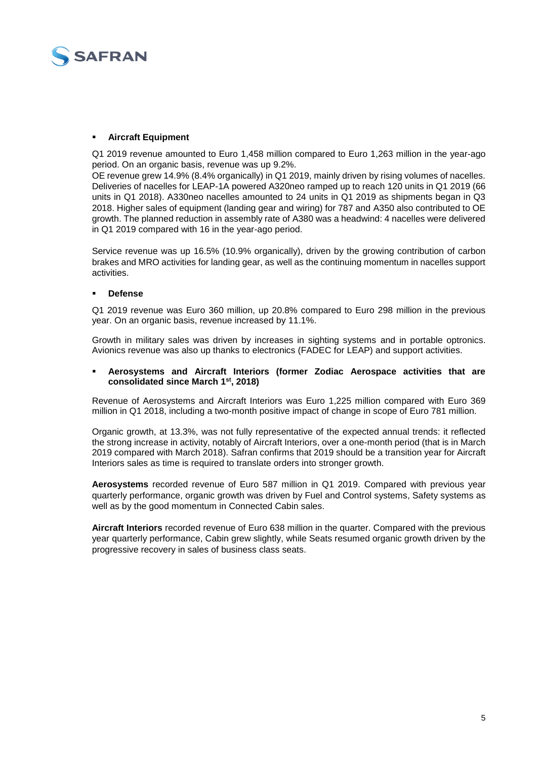

### **Aircraft Equipment**

Q1 2019 revenue amounted to Euro 1,458 million compared to Euro 1,263 million in the year-ago period. On an organic basis, revenue was up 9.2%.

OE revenue grew 14.9% (8.4% organically) in Q1 2019, mainly driven by rising volumes of nacelles. Deliveries of nacelles for LEAP-1A powered A320neo ramped up to reach 120 units in Q1 2019 (66 units in Q1 2018). A330neo nacelles amounted to 24 units in Q1 2019 as shipments began in Q3 2018. Higher sales of equipment (landing gear and wiring) for 787 and A350 also contributed to OE growth. The planned reduction in assembly rate of A380 was a headwind: 4 nacelles were delivered in Q1 2019 compared with 16 in the year-ago period.

Service revenue was up 16.5% (10.9% organically), driven by the growing contribution of carbon brakes and MRO activities for landing gear, as well as the continuing momentum in nacelles support activities.

### **Defense**

Q1 2019 revenue was Euro 360 million, up 20.8% compared to Euro 298 million in the previous year. On an organic basis, revenue increased by 11.1%.

Growth in military sales was driven by increases in sighting systems and in portable optronics. Avionics revenue was also up thanks to electronics (FADEC for LEAP) and support activities.

### **Aerosystems and Aircraft Interiors (former Zodiac Aerospace activities that are consolidated since March 1st, 2018)**

Revenue of Aerosystems and Aircraft Interiors was Euro 1,225 million compared with Euro 369 million in Q1 2018, including a two-month positive impact of change in scope of Euro 781 million.

Organic growth, at 13.3%, was not fully representative of the expected annual trends: it reflected the strong increase in activity, notably of Aircraft Interiors, over a one-month period (that is in March 2019 compared with March 2018). Safran confirms that 2019 should be a transition year for Aircraft Interiors sales as time is required to translate orders into stronger growth.

**Aerosystems** recorded revenue of Euro 587 million in Q1 2019. Compared with previous year quarterly performance, organic growth was driven by Fuel and Control systems, Safety systems as well as by the good momentum in Connected Cabin sales.

**Aircraft Interiors** recorded revenue of Euro 638 million in the quarter. Compared with the previous year quarterly performance, Cabin grew slightly, while Seats resumed organic growth driven by the progressive recovery in sales of business class seats.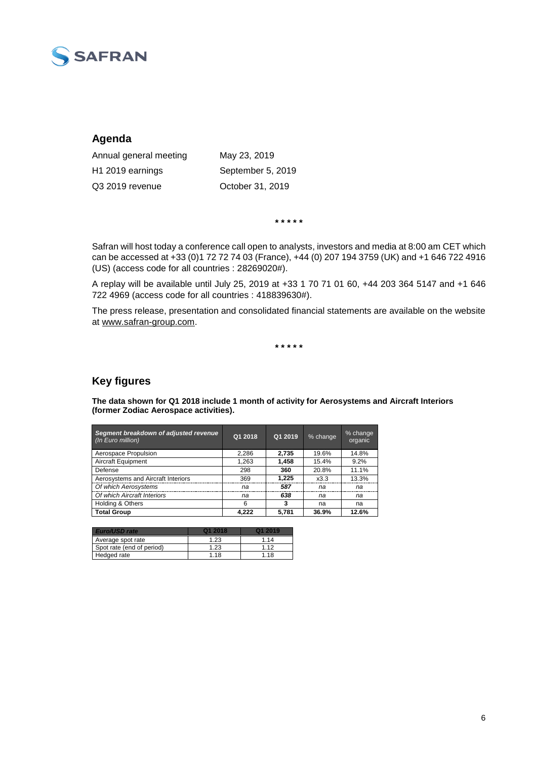

# **Agenda**

Annual general meeting May 23, 2019 H1 2019 earnings September 5, 2019 Q3 2019 revenue October 31, 2019

**\* \* \* \* \*** 

Safran will host today a conference call open to analysts, investors and media at 8:00 am CET which can be accessed at +33 (0)1 72 72 74 03 (France), +44 (0) 207 194 3759 (UK) and +1 646 722 4916 (US) (access code for all countries : 28269020#).

A replay will be available until July 25, 2019 at +33 1 70 71 01 60, +44 203 364 5147 and +1 646 722 4969 (access code for all countries : 418839630#).

The press release, presentation and consolidated financial statements are available on the website at [www.safran-group.com.](http://www.safran-group.com/)

**\* \* \* \* \*** 

# **Key figures**

**The data shown for Q1 2018 include 1 month of activity for Aerosystems and Aircraft Interiors (former Zodiac Aerospace activities).**

| Segment breakdown of adjusted revenue<br>(In Euro million) | Q1 2018 | Q1 2019 | % change | % change<br>organic |  |
|------------------------------------------------------------|---------|---------|----------|---------------------|--|
| Aerospace Propulsion                                       | 2,286   | 2,735   | 19.6%    | 14.8%               |  |
| Aircraft Equipment                                         | 1.263   | 1.458   | 15.4%    | 9.2%                |  |
| Defense                                                    | 298     | 360     | 20.8%    | 11.1%               |  |
| Aerosystems and Aircraft Interiors                         | 369     | 1.225   | x3.3     | 13.3%               |  |
| Of which Aerosystems                                       | na      | 587     | na       | na                  |  |
| Of which Aircraft Interiors                                | na      | 638     | na       | na                  |  |
| Holding & Others                                           | 6       | 3       | na       | na                  |  |
| <b>Total Group</b>                                         | 4.222   | 5.781   | 36.9%    | 12.6%               |  |

| Euro/USD rate             | <b>412018</b> | <b>01 2019</b> |
|---------------------------|---------------|----------------|
| Average spot rate         | 1.23          | 1 14           |
| Spot rate (end of period) | 1.23          | 1 1 2          |
| Hedged rate               | 1 1 8         | 1.18           |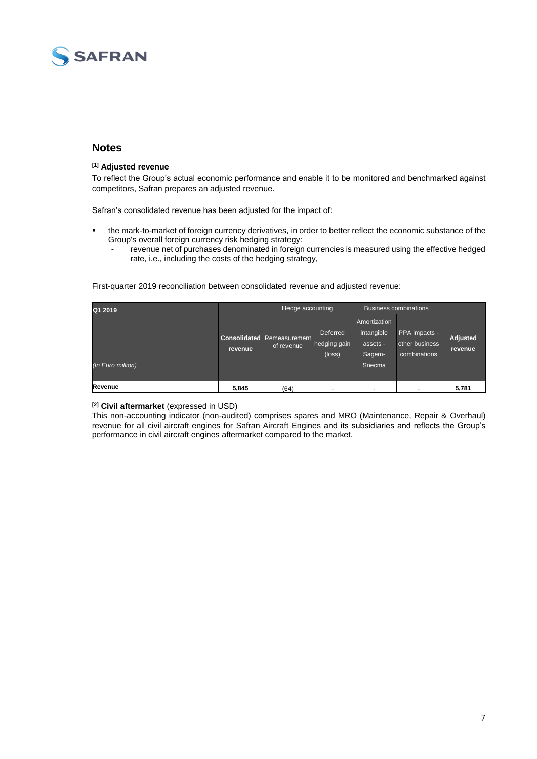

# **Notes**

### **[1] Adjusted revenue**

To reflect the Group's actual economic performance and enable it to be monitored and benchmarked against competitors, Safran prepares an adjusted revenue.

Safran's consolidated revenue has been adjusted for the impact of:

- the mark-to-market of foreign currency derivatives, in order to better reflect the economic substance of the Group's overall foreign currency risk hedging strategy:
	- revenue net of purchases denominated in foreign currencies is measured using the effective hedged rate, i.e., including the costs of the hedging strategy,

First-quarter 2019 reconciliation between consolidated revenue and adjusted revenue:

| Q1 2019           |         | Hedge accounting                                |                                             | <b>Business combinations</b>                     |                                                 |                     |
|-------------------|---------|-------------------------------------------------|---------------------------------------------|--------------------------------------------------|-------------------------------------------------|---------------------|
|                   | revenue | <b>Consolidated</b> Remeasurement<br>of revenue | Deferred<br>hedging gain<br>$(\text{loss})$ | Amortization<br>intangible<br>assets -<br>Sagem- | PPA impacts -<br>other business<br>combinations | Adjusted<br>revenue |
| (In Euro million) |         |                                                 |                                             | Snecma                                           |                                                 |                     |
| Revenue           | 5,845   | (64)                                            |                                             |                                                  | -                                               | 5,781               |

#### **[2] Civil aftermarket** (expressed in USD)

This non-accounting indicator (non-audited) comprises spares and MRO (Maintenance, Repair & Overhaul) revenue for all civil aircraft engines for Safran Aircraft Engines and its subsidiaries and reflects the Group's performance in civil aircraft engines aftermarket compared to the market.